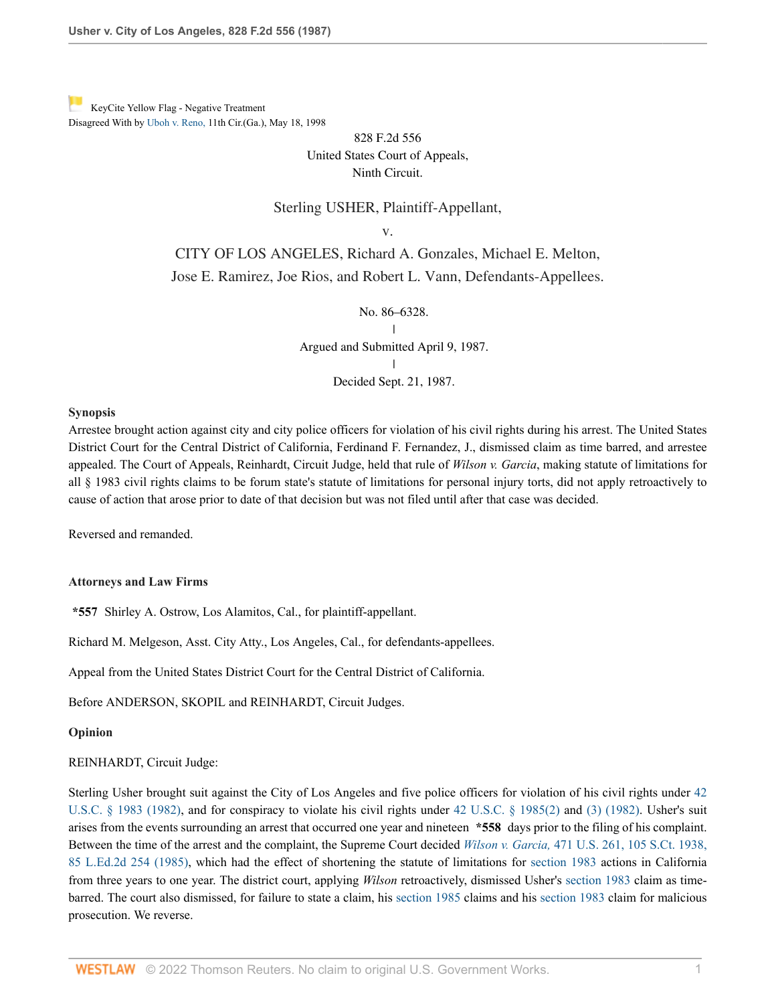[K](http://www.westlaw.com/Link/RelatedInformation/Flag?documentGuid=Ifa0f037b953a11d9bdd1cfdd544ca3a4&transitionType=Document&originationContext=docHeaderFlag&Rank=0&rs=cblt1.0&vr=3.0&contextData=(sc.UserEnteredCitation))eyCite Yellow Flag - Negative Treatment Disagreed With by [Uboh v. Reno,](https://www.westlaw.com/Document/I05949509944811d9bc61beebb95be672/View/FullText.html?navigationPath=RelatedInfo%2Fv4%2Fkeycite%2Fnav%2F%3Fguid%3DI05949509944811d9bc61beebb95be672%26ss%3D1987115685%26ds%3D1998109763%26origDocGuid%3DIfa0f037b953a11d9bdd1cfdd544ca3a4&listSource=RelatedInfo&list=NegativeCitingReferences&rank=0&ppcid=a905a895c07d44e0aa8ac2110f88664a&originationContext=docHeader&transitionType=NegativeTreatment&contextData=%28sc.UserEnteredCitation%29&VR=3.0&RS=cblt1.0 ) 11th Cir.(Ga.), May 18, 1998

# 828 F.2d 556 United States Court of Appeals, Ninth Circuit.

# Sterling USHER, Plaintiff-Appellant,

v.

CITY OF LOS ANGELES, Richard A. Gonzales, Michael E. Melton, Jose E. Ramirez, Joe Rios, and Robert L. Vann, Defendants-Appellees.

> No. 86–6328. **I**

| Argued and Submitted April 9, 1987. | Decided Sept. 21, 1987.

### **Synopsis**

Arrestee brought action against city and city police officers for violation of his civil rights during his arrest. The United States District Court for the Central District of California, Ferdinand F. Fernandez, J., dismissed claim as time barred, and arrestee appealed. The Court of Appeals, Reinhardt, Circuit Judge, held that rule of *Wilson v. Garcia*, making statute of limitations for all § 1983 civil rights claims to be forum state's statute of limitations for personal injury torts, did not apply retroactively to cause of action that arose prior to date of that decision but was not filed until after that case was decided.

Reversed and remanded.

### **Attorneys and Law Firms**

**\*557** Shirley A. Ostrow, Los Alamitos, Cal., for plaintiff-appellant.

Richard M. Melgeson, Asst. City Atty., Los Angeles, Cal., for defendants-appellees.

Appeal from the United States District Court for the Central District of California.

Before ANDERSON, SKOPIL and REINHARDT, Circuit Judges.

**Opinion**

#### REINHARDT, Circuit Judge:

Sterling Usher brought suit against the City of Los Angeles and five police officers for violation of his civil rights under [42](http://www.westlaw.com/Link/Document/FullText?findType=L&pubNum=1000546&cite=42USCAS1983&originatingDoc=Ifa0f037b953a11d9bdd1cfdd544ca3a4&refType=LQ&originationContext=document&vr=3.0&rs=cblt1.0&transitionType=DocumentItem&contextData=(sc.UserEnteredCitation)) [U.S.C. § 1983 \(1982\),](http://www.westlaw.com/Link/Document/FullText?findType=L&pubNum=1000546&cite=42USCAS1983&originatingDoc=Ifa0f037b953a11d9bdd1cfdd544ca3a4&refType=LQ&originationContext=document&vr=3.0&rs=cblt1.0&transitionType=DocumentItem&contextData=(sc.UserEnteredCitation)) and for conspiracy to violate his civil rights under [42 U.S.C. § 1985\(2\)](http://www.westlaw.com/Link/Document/FullText?findType=L&pubNum=1000546&cite=42USCAS1985&originatingDoc=Ifa0f037b953a11d9bdd1cfdd544ca3a4&refType=RB&originationContext=document&vr=3.0&rs=cblt1.0&transitionType=DocumentItem&contextData=(sc.UserEnteredCitation)#co_pp_58730000872b1) and [\(3\) \(1982\).](http://www.westlaw.com/Link/Document/FullText?findType=L&pubNum=1000546&cite=42USCAS1985&originatingDoc=Ifa0f037b953a11d9bdd1cfdd544ca3a4&refType=RB&originationContext=document&vr=3.0&rs=cblt1.0&transitionType=DocumentItem&contextData=(sc.UserEnteredCitation)#co_pp_d08f0000f5f67) Usher's suit arises from the events surrounding an arrest that occurred one year and nineteen **\*558** days prior to the filing of his complaint. Between the time of the arrest and the complaint, the Supreme Court decided *Wilson v. Garcia,* [471 U.S. 261, 105 S.Ct. 1938,](http://www.westlaw.com/Link/Document/FullText?findType=Y&serNum=1985119388&pubNum=0000708&originatingDoc=Ifa0f037b953a11d9bdd1cfdd544ca3a4&refType=RP&originationContext=document&vr=3.0&rs=cblt1.0&transitionType=DocumentItem&contextData=(sc.UserEnteredCitation)) [85 L.Ed.2d 254 \(1985\),](http://www.westlaw.com/Link/Document/FullText?findType=Y&serNum=1985119388&pubNum=0000708&originatingDoc=Ifa0f037b953a11d9bdd1cfdd544ca3a4&refType=RP&originationContext=document&vr=3.0&rs=cblt1.0&transitionType=DocumentItem&contextData=(sc.UserEnteredCitation)) which had the effect of shortening the statute of limitations for [section 1983](http://www.westlaw.com/Link/Document/FullText?findType=L&pubNum=1000546&cite=42USCAS1983&originatingDoc=Ifa0f037b953a11d9bdd1cfdd544ca3a4&refType=LQ&originationContext=document&vr=3.0&rs=cblt1.0&transitionType=DocumentItem&contextData=(sc.UserEnteredCitation)) actions in California from three years to one year. The district court, applying *Wilson* retroactively, dismissed Usher's [section 1983](http://www.westlaw.com/Link/Document/FullText?findType=L&pubNum=1000546&cite=42USCAS1983&originatingDoc=Ifa0f037b953a11d9bdd1cfdd544ca3a4&refType=LQ&originationContext=document&vr=3.0&rs=cblt1.0&transitionType=DocumentItem&contextData=(sc.UserEnteredCitation)) claim as timebarred. The court also dismissed, for failure to state a claim, his [section 1985](http://www.westlaw.com/Link/Document/FullText?findType=L&pubNum=1000546&cite=42USCAS1985&originatingDoc=Ifa0f037b953a11d9bdd1cfdd544ca3a4&refType=LQ&originationContext=document&vr=3.0&rs=cblt1.0&transitionType=DocumentItem&contextData=(sc.UserEnteredCitation)) claims and his [section 1983](http://www.westlaw.com/Link/Document/FullText?findType=L&pubNum=1000546&cite=42USCAS1983&originatingDoc=Ifa0f037b953a11d9bdd1cfdd544ca3a4&refType=LQ&originationContext=document&vr=3.0&rs=cblt1.0&transitionType=DocumentItem&contextData=(sc.UserEnteredCitation)) claim for malicious prosecution. We reverse.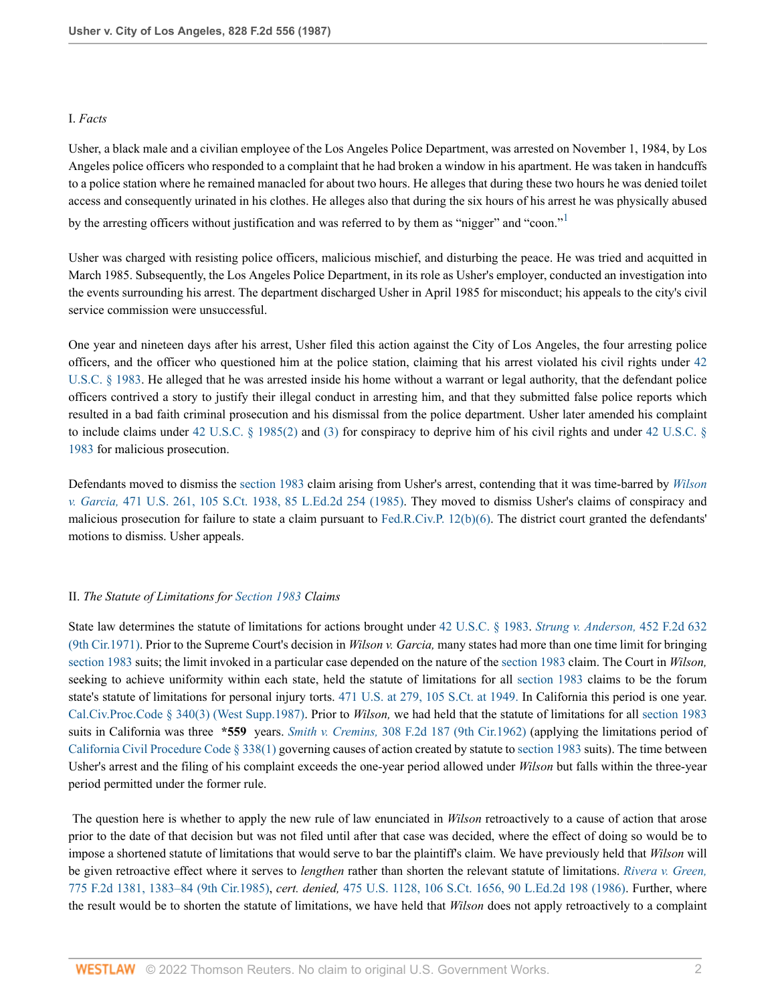# I. *Facts*

Usher, a black male and a civilian employee of the Los Angeles Police Department, was arrested on November 1, 1984, by Los Angeles police officers who responded to a complaint that he had broken a window in his apartment. He was taken in handcuffs to a police station where he remained manacled for about two hours. He alleges that during these two hours he was denied toilet access and consequently urinated in his clothes. He alleges also that during the six hours of his arrest he was physically abused by the arresting officers without justification and was referred to by them as "nigger" and "coon."

<span id="page-1-0"></span>Usher was charged with resisting police officers, malicious mischief, and disturbing the peace. He was tried and acquitted in March 1985. Subsequently, the Los Angeles Police Department, in its role as Usher's employer, conducted an investigation into the events surrounding his arrest. The department discharged Usher in April 1985 for misconduct; his appeals to the city's civil service commission were unsuccessful.

One year and nineteen days after his arrest, Usher filed this action against the City of Los Angeles, the four arresting police officers, and the officer who questioned him at the police station, claiming that his arrest violated his civil rights under [42](http://www.westlaw.com/Link/Document/FullText?findType=L&pubNum=1000546&cite=42USCAS1983&originatingDoc=Ifa0f037b953a11d9bdd1cfdd544ca3a4&refType=LQ&originationContext=document&vr=3.0&rs=cblt1.0&transitionType=DocumentItem&contextData=(sc.UserEnteredCitation)) [U.S.C. § 1983](http://www.westlaw.com/Link/Document/FullText?findType=L&pubNum=1000546&cite=42USCAS1983&originatingDoc=Ifa0f037b953a11d9bdd1cfdd544ca3a4&refType=LQ&originationContext=document&vr=3.0&rs=cblt1.0&transitionType=DocumentItem&contextData=(sc.UserEnteredCitation)). He alleged that he was arrested inside his home without a warrant or legal authority, that the defendant police officers contrived a story to justify their illegal conduct in arresting him, and that they submitted false police reports which resulted in a bad faith criminal prosecution and his dismissal from the police department. Usher later amended his complaint to include claims under [42 U.S.C. § 1985\(2\)](http://www.westlaw.com/Link/Document/FullText?findType=L&pubNum=1000546&cite=42USCAS1985&originatingDoc=Ifa0f037b953a11d9bdd1cfdd544ca3a4&refType=RB&originationContext=document&vr=3.0&rs=cblt1.0&transitionType=DocumentItem&contextData=(sc.UserEnteredCitation)#co_pp_58730000872b1) and [\(3\)](http://www.westlaw.com/Link/Document/FullText?findType=L&pubNum=1000546&cite=42USCAS1985&originatingDoc=Ifa0f037b953a11d9bdd1cfdd544ca3a4&refType=RB&originationContext=document&vr=3.0&rs=cblt1.0&transitionType=DocumentItem&contextData=(sc.UserEnteredCitation)#co_pp_d08f0000f5f67) for conspiracy to deprive him of his civil rights and under [42 U.S.C. §](http://www.westlaw.com/Link/Document/FullText?findType=L&pubNum=1000546&cite=42USCAS1983&originatingDoc=Ifa0f037b953a11d9bdd1cfdd544ca3a4&refType=LQ&originationContext=document&vr=3.0&rs=cblt1.0&transitionType=DocumentItem&contextData=(sc.UserEnteredCitation)) [1983](http://www.westlaw.com/Link/Document/FullText?findType=L&pubNum=1000546&cite=42USCAS1983&originatingDoc=Ifa0f037b953a11d9bdd1cfdd544ca3a4&refType=LQ&originationContext=document&vr=3.0&rs=cblt1.0&transitionType=DocumentItem&contextData=(sc.UserEnteredCitation)) for malicious prosecution.

Defendants moved to dismiss the [section 1983](http://www.westlaw.com/Link/Document/FullText?findType=L&pubNum=1000546&cite=42USCAS1983&originatingDoc=Ifa0f037b953a11d9bdd1cfdd544ca3a4&refType=LQ&originationContext=document&vr=3.0&rs=cblt1.0&transitionType=DocumentItem&contextData=(sc.UserEnteredCitation)) claim arising from Usher's arrest, contending that it was time-barred by *[Wilson](http://www.westlaw.com/Link/Document/FullText?findType=Y&serNum=1985119388&pubNum=0000708&originatingDoc=Ifa0f037b953a11d9bdd1cfdd544ca3a4&refType=RP&originationContext=document&vr=3.0&rs=cblt1.0&transitionType=DocumentItem&contextData=(sc.UserEnteredCitation)) v. Garcia,* [471 U.S. 261, 105 S.Ct. 1938, 85 L.Ed.2d 254 \(1985\).](http://www.westlaw.com/Link/Document/FullText?findType=Y&serNum=1985119388&pubNum=0000708&originatingDoc=Ifa0f037b953a11d9bdd1cfdd544ca3a4&refType=RP&originationContext=document&vr=3.0&rs=cblt1.0&transitionType=DocumentItem&contextData=(sc.UserEnteredCitation)) They moved to dismiss Usher's claims of conspiracy and malicious prosecution for failure to state a claim pursuant to [Fed.R.Civ.P. 12\(b\)\(6\)](http://www.westlaw.com/Link/Document/FullText?findType=L&pubNum=1000600&cite=USFRCPR12&originatingDoc=Ifa0f037b953a11d9bdd1cfdd544ca3a4&refType=RB&originationContext=document&vr=3.0&rs=cblt1.0&transitionType=DocumentItem&contextData=(sc.UserEnteredCitation)#co_pp_61d20000b6d76). The district court granted the defendants' motions to dismiss. Usher appeals.

# II. *The Statute of Limitations for [Section 1983](http://www.westlaw.com/Link/Document/FullText?findType=L&pubNum=1000546&cite=42USCAS1983&originatingDoc=Ifa0f037b953a11d9bdd1cfdd544ca3a4&refType=LQ&originationContext=document&vr=3.0&rs=cblt1.0&transitionType=DocumentItem&contextData=(sc.UserEnteredCitation)) Claims*

State law determines the statute of limitations for actions brought under [42 U.S.C. § 1983](http://www.westlaw.com/Link/Document/FullText?findType=L&pubNum=1000546&cite=42USCAS1983&originatingDoc=Ifa0f037b953a11d9bdd1cfdd544ca3a4&refType=LQ&originationContext=document&vr=3.0&rs=cblt1.0&transitionType=DocumentItem&contextData=(sc.UserEnteredCitation)). *[Strung v. Anderson,](http://www.westlaw.com/Link/Document/FullText?findType=Y&serNum=1971113724&pubNum=0000350&originatingDoc=Ifa0f037b953a11d9bdd1cfdd544ca3a4&refType=RP&originationContext=document&vr=3.0&rs=cblt1.0&transitionType=DocumentItem&contextData=(sc.UserEnteredCitation))* 452 F.2d 632 [\(9th Cir.1971\)](http://www.westlaw.com/Link/Document/FullText?findType=Y&serNum=1971113724&pubNum=0000350&originatingDoc=Ifa0f037b953a11d9bdd1cfdd544ca3a4&refType=RP&originationContext=document&vr=3.0&rs=cblt1.0&transitionType=DocumentItem&contextData=(sc.UserEnteredCitation)). Prior to the Supreme Court's decision in *Wilson v. Garcia,* many states had more than one time limit for bringing [section 1983](http://www.westlaw.com/Link/Document/FullText?findType=L&pubNum=1000546&cite=42USCAS1983&originatingDoc=Ifa0f037b953a11d9bdd1cfdd544ca3a4&refType=LQ&originationContext=document&vr=3.0&rs=cblt1.0&transitionType=DocumentItem&contextData=(sc.UserEnteredCitation)) suits; the limit invoked in a particular case depended on the nature of the [section 1983](http://www.westlaw.com/Link/Document/FullText?findType=L&pubNum=1000546&cite=42USCAS1983&originatingDoc=Ifa0f037b953a11d9bdd1cfdd544ca3a4&refType=LQ&originationContext=document&vr=3.0&rs=cblt1.0&transitionType=DocumentItem&contextData=(sc.UserEnteredCitation)) claim. The Court in *Wilson,* seeking to achieve uniformity within each state, held the statute of limitations for all [section 1983](http://www.westlaw.com/Link/Document/FullText?findType=L&pubNum=1000546&cite=42USCAS1983&originatingDoc=Ifa0f037b953a11d9bdd1cfdd544ca3a4&refType=LQ&originationContext=document&vr=3.0&rs=cblt1.0&transitionType=DocumentItem&contextData=(sc.UserEnteredCitation)) claims to be the forum state's statute of limitations for personal injury torts. [471 U.S. at 279, 105 S.Ct. at 1949.](http://www.westlaw.com/Link/Document/FullText?findType=Y&serNum=1985119388&pubNum=708&originatingDoc=Ifa0f037b953a11d9bdd1cfdd544ca3a4&refType=RP&fi=co_pp_sp_708_1949&originationContext=document&vr=3.0&rs=cblt1.0&transitionType=DocumentItem&contextData=(sc.UserEnteredCitation)#co_pp_sp_708_1949) In California this period is one year. [Cal.Civ.Proc.Code § 340\(3\) \(West Supp.1987\)](http://www.westlaw.com/Link/Document/FullText?findType=L&pubNum=1000201&cite=CACPS340&originatingDoc=Ifa0f037b953a11d9bdd1cfdd544ca3a4&refType=LQ&originationContext=document&vr=3.0&rs=cblt1.0&transitionType=DocumentItem&contextData=(sc.UserEnteredCitation)). Prior to *Wilson,* we had held that the statute of limitations for all [section 1983](http://www.westlaw.com/Link/Document/FullText?findType=L&pubNum=1000546&cite=42USCAS1983&originatingDoc=Ifa0f037b953a11d9bdd1cfdd544ca3a4&refType=LQ&originationContext=document&vr=3.0&rs=cblt1.0&transitionType=DocumentItem&contextData=(sc.UserEnteredCitation)) suits in California was three **\*559** years. *Smith v. Cremins,* [308 F.2d 187 \(9th Cir.1962\)](http://www.westlaw.com/Link/Document/FullText?findType=Y&serNum=1962104666&pubNum=0000350&originatingDoc=Ifa0f037b953a11d9bdd1cfdd544ca3a4&refType=RP&originationContext=document&vr=3.0&rs=cblt1.0&transitionType=DocumentItem&contextData=(sc.UserEnteredCitation)) (applying the limitations period of [California Civil Procedure Code § 338\(1\)](http://www.westlaw.com/Link/Document/FullText?findType=L&pubNum=1000201&cite=CACPS338&originatingDoc=Ifa0f037b953a11d9bdd1cfdd544ca3a4&refType=LQ&originationContext=document&vr=3.0&rs=cblt1.0&transitionType=DocumentItem&contextData=(sc.UserEnteredCitation)) governing causes of action created by statute to [section 1983](http://www.westlaw.com/Link/Document/FullText?findType=L&pubNum=1000546&cite=42USCAS1983&originatingDoc=Ifa0f037b953a11d9bdd1cfdd544ca3a4&refType=LQ&originationContext=document&vr=3.0&rs=cblt1.0&transitionType=DocumentItem&contextData=(sc.UserEnteredCitation)) suits). The time between Usher's arrest and the filing of his complaint exceeds the one-year period allowed under *Wilson* but falls within the three-year period permitted under the former rule.

 The question here is whether to apply the new rule of law enunciated in *Wilson* retroactively to a cause of action that arose prior to the date of that decision but was not filed until after that case was decided, where the effect of doing so would be to impose a shortened statute of limitations that would serve to bar the plaintiff's claim. We have previously held that *Wilson* will be given retroactive effect where it serves to *lengthen* rather than shorten the relevant statute of limitations. *[Rivera v. Green,](http://www.westlaw.com/Link/Document/FullText?findType=Y&serNum=1985154634&pubNum=0000350&originatingDoc=Ifa0f037b953a11d9bdd1cfdd544ca3a4&refType=RP&fi=co_pp_sp_350_1383&originationContext=document&vr=3.0&rs=cblt1.0&transitionType=DocumentItem&contextData=(sc.UserEnteredCitation)#co_pp_sp_350_1383)* [775 F.2d 1381, 1383–84 \(9th Cir.1985\),](http://www.westlaw.com/Link/Document/FullText?findType=Y&serNum=1985154634&pubNum=0000350&originatingDoc=Ifa0f037b953a11d9bdd1cfdd544ca3a4&refType=RP&fi=co_pp_sp_350_1383&originationContext=document&vr=3.0&rs=cblt1.0&transitionType=DocumentItem&contextData=(sc.UserEnteredCitation)#co_pp_sp_350_1383) *cert. denied,* [475 U.S. 1128, 106 S.Ct. 1656, 90 L.Ed.2d 198 \(1986\).](http://www.westlaw.com/Link/Document/FullText?findType=Y&serNum=1986221853&pubNum=0000708&originatingDoc=Ifa0f037b953a11d9bdd1cfdd544ca3a4&refType=RP&originationContext=document&vr=3.0&rs=cblt1.0&transitionType=DocumentItem&contextData=(sc.UserEnteredCitation)) Further, where the result would be to shorten the statute of limitations, we have held that *Wilson* does not apply retroactively to a complaint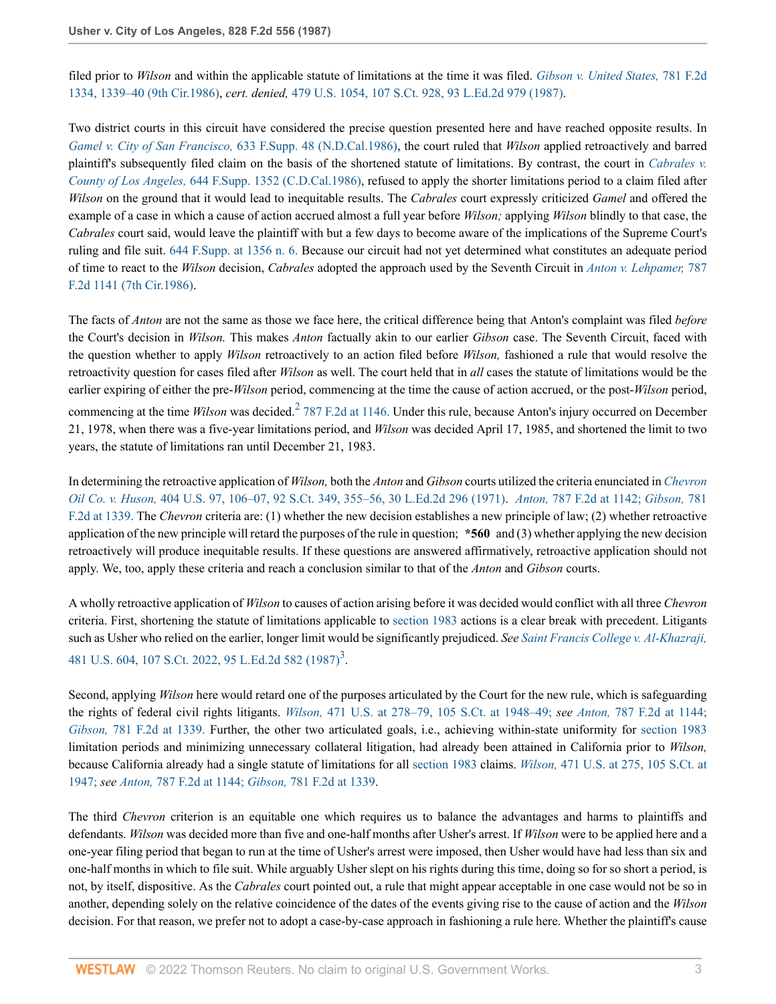filed prior to *Wilson* and within the applicable statute of limitations at the time it was filed. *[Gibson v. United States,](http://www.westlaw.com/Link/Document/FullText?findType=Y&serNum=1986105155&pubNum=0000350&originatingDoc=Ifa0f037b953a11d9bdd1cfdd544ca3a4&refType=RP&fi=co_pp_sp_350_1339&originationContext=document&vr=3.0&rs=cblt1.0&transitionType=DocumentItem&contextData=(sc.UserEnteredCitation)#co_pp_sp_350_1339)* 781 F.2d [1334, 1339–40 \(9th Cir.1986\)](http://www.westlaw.com/Link/Document/FullText?findType=Y&serNum=1986105155&pubNum=0000350&originatingDoc=Ifa0f037b953a11d9bdd1cfdd544ca3a4&refType=RP&fi=co_pp_sp_350_1339&originationContext=document&vr=3.0&rs=cblt1.0&transitionType=DocumentItem&contextData=(sc.UserEnteredCitation)#co_pp_sp_350_1339), *cert. denied,* [479 U.S. 1054, 107 S.Ct. 928, 93 L.Ed.2d 979 \(1987\)](http://www.westlaw.com/Link/Document/FullText?findType=Y&serNum=1987012431&pubNum=0000708&originatingDoc=Ifa0f037b953a11d9bdd1cfdd544ca3a4&refType=RP&originationContext=document&vr=3.0&rs=cblt1.0&transitionType=DocumentItem&contextData=(sc.UserEnteredCitation)).

Two district courts in this circuit have considered the precise question presented here and have reached opposite results. In *[Gamel v. City of San Francisco,](http://www.westlaw.com/Link/Document/FullText?findType=Y&serNum=1986123083&pubNum=0000345&originatingDoc=Ifa0f037b953a11d9bdd1cfdd544ca3a4&refType=RP&originationContext=document&vr=3.0&rs=cblt1.0&transitionType=DocumentItem&contextData=(sc.UserEnteredCitation))* 633 F.Supp. 48 (N.D.Cal.1986), the court ruled that *Wilson* applied retroactively and barred plaintiff's subsequently filed claim on the basis of the shortened statute of limitations. By contrast, the court in *[Cabrales v.](http://www.westlaw.com/Link/Document/FullText?findType=Y&serNum=1986150096&pubNum=0000345&originatingDoc=Ifa0f037b953a11d9bdd1cfdd544ca3a4&refType=RP&originationContext=document&vr=3.0&rs=cblt1.0&transitionType=DocumentItem&contextData=(sc.UserEnteredCitation)) County of Los Angeles,* [644 F.Supp. 1352 \(C.D.Cal.1986\)](http://www.westlaw.com/Link/Document/FullText?findType=Y&serNum=1986150096&pubNum=0000345&originatingDoc=Ifa0f037b953a11d9bdd1cfdd544ca3a4&refType=RP&originationContext=document&vr=3.0&rs=cblt1.0&transitionType=DocumentItem&contextData=(sc.UserEnteredCitation)), refused to apply the shorter limitations period to a claim filed after *Wilson* on the ground that it would lead to inequitable results. The *Cabrales* court expressly criticized *Gamel* and offered the example of a case in which a cause of action accrued almost a full year before *Wilson;* applying *Wilson* blindly to that case, the *Cabrales* court said, would leave the plaintiff with but a few days to become aware of the implications of the Supreme Court's ruling and file suit. [644 F.Supp. at 1356 n. 6.](http://www.westlaw.com/Link/Document/FullText?findType=Y&serNum=1986150096&pubNum=345&originatingDoc=Ifa0f037b953a11d9bdd1cfdd544ca3a4&refType=RP&fi=co_pp_sp_345_1356&originationContext=document&vr=3.0&rs=cblt1.0&transitionType=DocumentItem&contextData=(sc.UserEnteredCitation)#co_pp_sp_345_1356) Because our circuit had not yet determined what constitutes an adequate period of time to react to the *Wilson* decision, *Cabrales* adopted the approach used by the Seventh Circuit in *[Anton v. Lehpamer,](http://www.westlaw.com/Link/Document/FullText?findType=Y&serNum=1986117786&pubNum=0000350&originatingDoc=Ifa0f037b953a11d9bdd1cfdd544ca3a4&refType=RP&originationContext=document&vr=3.0&rs=cblt1.0&transitionType=DocumentItem&contextData=(sc.UserEnteredCitation))* 787 [F.2d 1141 \(7th Cir.1986\).](http://www.westlaw.com/Link/Document/FullText?findType=Y&serNum=1986117786&pubNum=0000350&originatingDoc=Ifa0f037b953a11d9bdd1cfdd544ca3a4&refType=RP&originationContext=document&vr=3.0&rs=cblt1.0&transitionType=DocumentItem&contextData=(sc.UserEnteredCitation))

The facts of *Anton* are not the same as those we face here, the critical difference being that Anton's complaint was filed *before* the Court's decision in *Wilson.* This makes *Anton* factually akin to our earlier *Gibson* case. The Seventh Circuit, faced with the question whether to apply *Wilson* retroactively to an action filed before *Wilson,* fashioned a rule that would resolve the retroactivity question for cases filed after *Wilson* as well. The court held that in *all* cases the statute of limitations would be the earlier expiring of either the pre-*Wilson* period, commencing at the time the cause of action accrued, or the post-*Wilson* period, commencing at the time *Wilson* was decided.<sup>[2](#page-4-1)</sup> [787 F.2d at 1146.](http://www.westlaw.com/Link/Document/FullText?findType=Y&serNum=1986117786&pubNum=350&originatingDoc=Ifa0f037b953a11d9bdd1cfdd544ca3a4&refType=RP&fi=co_pp_sp_350_1146&originationContext=document&vr=3.0&rs=cblt1.0&transitionType=DocumentItem&contextData=(sc.UserEnteredCitation)#co_pp_sp_350_1146) Under this rule, because Anton's injury occurred on December 21, 1978, when there was a five-year limitations period, and *Wilson* was decided April 17, 1985, and shortened the limit to two years, the statute of limitations ran until December 21, 1983.

<span id="page-2-0"></span>In determining the retroactive application of *Wilson,* both the *Anton* and *Gibson* courts utilized the criteria enunciated in *[Chevron](http://www.westlaw.com/Link/Document/FullText?findType=Y&serNum=1971136556&pubNum=0000708&originatingDoc=Ifa0f037b953a11d9bdd1cfdd544ca3a4&refType=RP&fi=co_pp_sp_708_355&originationContext=document&vr=3.0&rs=cblt1.0&transitionType=DocumentItem&contextData=(sc.UserEnteredCitation)#co_pp_sp_708_355) Oil Co. v. Huson,* [404 U.S. 97, 106–07, 92 S.Ct. 349, 355–56, 30 L.Ed.2d 296 \(1971\).](http://www.westlaw.com/Link/Document/FullText?findType=Y&serNum=1971136556&pubNum=0000708&originatingDoc=Ifa0f037b953a11d9bdd1cfdd544ca3a4&refType=RP&fi=co_pp_sp_708_355&originationContext=document&vr=3.0&rs=cblt1.0&transitionType=DocumentItem&contextData=(sc.UserEnteredCitation)#co_pp_sp_708_355) *Anton,* [787 F.2d at 1142;](http://www.westlaw.com/Link/Document/FullText?findType=Y&serNum=1986117786&pubNum=350&originatingDoc=Ifa0f037b953a11d9bdd1cfdd544ca3a4&refType=RP&fi=co_pp_sp_350_1142&originationContext=document&vr=3.0&rs=cblt1.0&transitionType=DocumentItem&contextData=(sc.UserEnteredCitation)#co_pp_sp_350_1142) *[Gibson,](http://www.westlaw.com/Link/Document/FullText?findType=Y&serNum=1986105155&pubNum=350&originatingDoc=Ifa0f037b953a11d9bdd1cfdd544ca3a4&refType=RP&fi=co_pp_sp_350_1339&originationContext=document&vr=3.0&rs=cblt1.0&transitionType=DocumentItem&contextData=(sc.UserEnteredCitation)#co_pp_sp_350_1339)* 781 [F.2d at 1339.](http://www.westlaw.com/Link/Document/FullText?findType=Y&serNum=1986105155&pubNum=350&originatingDoc=Ifa0f037b953a11d9bdd1cfdd544ca3a4&refType=RP&fi=co_pp_sp_350_1339&originationContext=document&vr=3.0&rs=cblt1.0&transitionType=DocumentItem&contextData=(sc.UserEnteredCitation)#co_pp_sp_350_1339) The *Chevron* criteria are: (1) whether the new decision establishes a new principle of law; (2) whether retroactive application of the new principle will retard the purposes of the rule in question; **\*560** and (3) whether applying the new decision retroactively will produce inequitable results. If these questions are answered affirmatively, retroactive application should not apply. We, too, apply these criteria and reach a conclusion similar to that of the *Anton* and *Gibson* courts.

A wholly retroactive application of *Wilson* to causes of action arising before it was decided would conflict with all three *Chevron* criteria. First, shortening the statute of limitations applicable to [section 1983](http://www.westlaw.com/Link/Document/FullText?findType=L&pubNum=1000546&cite=42USCAS1983&originatingDoc=Ifa0f037b953a11d9bdd1cfdd544ca3a4&refType=LQ&originationContext=document&vr=3.0&rs=cblt1.0&transitionType=DocumentItem&contextData=(sc.UserEnteredCitation)) actions is a clear break with precedent. Litigants such as Usher who relied on the earlier, longer limit would be significantly prejudiced. *See [Saint Francis College v. Al-Khazraji,](http://www.westlaw.com/Link/Document/FullText?findType=Y&serNum=1987062389&pubNum=0000708&originatingDoc=Ifa0f037b953a11d9bdd1cfdd544ca3a4&refType=RP&originationContext=document&vr=3.0&rs=cblt1.0&transitionType=DocumentItem&contextData=(sc.UserEnteredCitation))* [481 U.S. 604, 107 S.Ct. 2022, 95 L.Ed.2d 582 \(1987\)](http://www.westlaw.com/Link/Document/FullText?findType=Y&serNum=1987062389&pubNum=0000708&originatingDoc=Ifa0f037b953a11d9bdd1cfdd544ca3a4&refType=RP&originationContext=document&vr=3.0&rs=cblt1.0&transitionType=DocumentItem&contextData=(sc.UserEnteredCitation))<sup>[3](#page-4-2)</sup>.

<span id="page-2-1"></span>Second, applying *Wilson* here would retard one of the purposes articulated by the Court for the new rule, which is safeguarding the rights of federal civil rights litigants. *Wilson,* [471 U.S. at 278–79, 105 S.Ct. at 1948–49;](http://www.westlaw.com/Link/Document/FullText?findType=Y&serNum=1985119388&pubNum=708&originatingDoc=Ifa0f037b953a11d9bdd1cfdd544ca3a4&refType=RP&fi=co_pp_sp_708_1948&originationContext=document&vr=3.0&rs=cblt1.0&transitionType=DocumentItem&contextData=(sc.UserEnteredCitation)#co_pp_sp_708_1948) *see Anton,* [787 F.2d at 1144;](http://www.westlaw.com/Link/Document/FullText?findType=Y&serNum=1986117786&pubNum=350&originatingDoc=Ifa0f037b953a11d9bdd1cfdd544ca3a4&refType=RP&fi=co_pp_sp_350_1144&originationContext=document&vr=3.0&rs=cblt1.0&transitionType=DocumentItem&contextData=(sc.UserEnteredCitation)#co_pp_sp_350_1144) *Gibson,* [781 F.2d at 1339.](http://www.westlaw.com/Link/Document/FullText?findType=Y&serNum=1986105155&pubNum=350&originatingDoc=Ifa0f037b953a11d9bdd1cfdd544ca3a4&refType=RP&fi=co_pp_sp_350_1339&originationContext=document&vr=3.0&rs=cblt1.0&transitionType=DocumentItem&contextData=(sc.UserEnteredCitation)#co_pp_sp_350_1339) Further, the other two articulated goals, i.e., achieving within-state uniformity for [section 1983](http://www.westlaw.com/Link/Document/FullText?findType=L&pubNum=1000546&cite=42USCAS1983&originatingDoc=Ifa0f037b953a11d9bdd1cfdd544ca3a4&refType=LQ&originationContext=document&vr=3.0&rs=cblt1.0&transitionType=DocumentItem&contextData=(sc.UserEnteredCitation)) limitation periods and minimizing unnecessary collateral litigation, had already been attained in California prior to *Wilson,* because California already had a single statute of limitations for all [section 1983](http://www.westlaw.com/Link/Document/FullText?findType=L&pubNum=1000546&cite=42USCAS1983&originatingDoc=Ifa0f037b953a11d9bdd1cfdd544ca3a4&refType=LQ&originationContext=document&vr=3.0&rs=cblt1.0&transitionType=DocumentItem&contextData=(sc.UserEnteredCitation)) claims. *Wilson,* [471 U.S. at 275, 105 S.Ct. at](http://www.westlaw.com/Link/Document/FullText?findType=Y&serNum=1985119388&pubNum=708&originatingDoc=Ifa0f037b953a11d9bdd1cfdd544ca3a4&refType=RP&fi=co_pp_sp_708_1947&originationContext=document&vr=3.0&rs=cblt1.0&transitionType=DocumentItem&contextData=(sc.UserEnteredCitation)#co_pp_sp_708_1947) [1947;](http://www.westlaw.com/Link/Document/FullText?findType=Y&serNum=1985119388&pubNum=708&originatingDoc=Ifa0f037b953a11d9bdd1cfdd544ca3a4&refType=RP&fi=co_pp_sp_708_1947&originationContext=document&vr=3.0&rs=cblt1.0&transitionType=DocumentItem&contextData=(sc.UserEnteredCitation)#co_pp_sp_708_1947) *see Anton,* [787 F.2d at 1144;](http://www.westlaw.com/Link/Document/FullText?findType=Y&serNum=1986117786&pubNum=350&originatingDoc=Ifa0f037b953a11d9bdd1cfdd544ca3a4&refType=RP&fi=co_pp_sp_350_1144&originationContext=document&vr=3.0&rs=cblt1.0&transitionType=DocumentItem&contextData=(sc.UserEnteredCitation)#co_pp_sp_350_1144) *Gibson,* [781 F.2d at 1339](http://www.westlaw.com/Link/Document/FullText?findType=Y&serNum=1986105155&pubNum=0000350&originatingDoc=Ifa0f037b953a11d9bdd1cfdd544ca3a4&refType=RP&fi=co_pp_sp_350_1339&originationContext=document&vr=3.0&rs=cblt1.0&transitionType=DocumentItem&contextData=(sc.UserEnteredCitation)#co_pp_sp_350_1339).

The third *Chevron* criterion is an equitable one which requires us to balance the advantages and harms to plaintiffs and defendants. *Wilson* was decided more than five and one-half months after Usher's arrest. If *Wilson* were to be applied here and a one-year filing period that began to run at the time of Usher's arrest were imposed, then Usher would have had less than six and one-half months in which to file suit. While arguably Usher slept on his rights during this time, doing so for so short a period, is not, by itself, dispositive. As the *Cabrales* court pointed out, a rule that might appear acceptable in one case would not be so in another, depending solely on the relative coincidence of the dates of the events giving rise to the cause of action and the *Wilson* decision. For that reason, we prefer not to adopt a case-by-case approach in fashioning a rule here. Whether the plaintiff's cause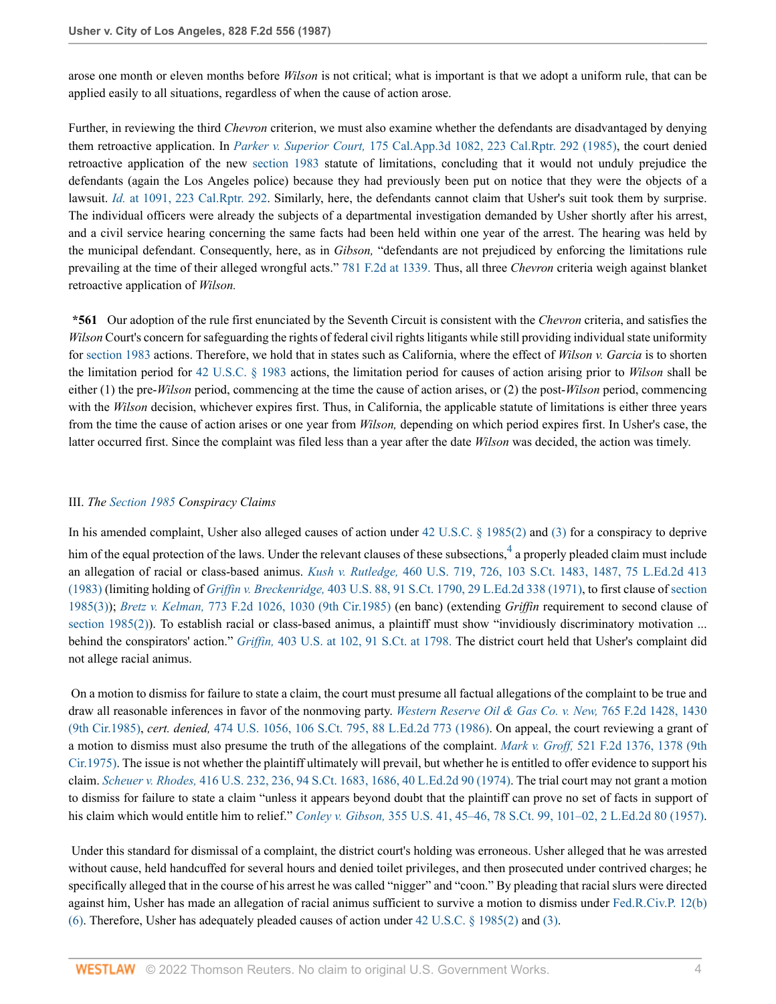arose one month or eleven months before *Wilson* is not critical; what is important is that we adopt a uniform rule, that can be applied easily to all situations, regardless of when the cause of action arose.

Further, in reviewing the third *Chevron* criterion, we must also examine whether the defendants are disadvantaged by denying them retroactive application. In *Parker v. Superior Court,* [175 Cal.App.3d 1082, 223 Cal.Rptr. 292 \(1985\),](http://www.westlaw.com/Link/Document/FullText?findType=Y&serNum=1986111031&pubNum=0000227&originatingDoc=Ifa0f037b953a11d9bdd1cfdd544ca3a4&refType=RP&originationContext=document&vr=3.0&rs=cblt1.0&transitionType=DocumentItem&contextData=(sc.UserEnteredCitation)) the court denied retroactive application of the new [section 1983](http://www.westlaw.com/Link/Document/FullText?findType=L&pubNum=1000546&cite=42USCAS1983&originatingDoc=Ifa0f037b953a11d9bdd1cfdd544ca3a4&refType=LQ&originationContext=document&vr=3.0&rs=cblt1.0&transitionType=DocumentItem&contextData=(sc.UserEnteredCitation)) statute of limitations, concluding that it would not unduly prejudice the defendants (again the Los Angeles police) because they had previously been put on notice that they were the objects of a lawsuit. *Id.* [at 1091, 223 Cal.Rptr. 292.](http://www.westlaw.com/Link/Document/FullText?findType=Y&serNum=1986111031&pubNum=0000227&originatingDoc=Ifa0f037b953a11d9bdd1cfdd544ca3a4&refType=RP&originationContext=document&vr=3.0&rs=cblt1.0&transitionType=DocumentItem&contextData=(sc.UserEnteredCitation)) Similarly, here, the defendants cannot claim that Usher's suit took them by surprise. The individual officers were already the subjects of a departmental investigation demanded by Usher shortly after his arrest, and a civil service hearing concerning the same facts had been held within one year of the arrest. The hearing was held by the municipal defendant. Consequently, here, as in *Gibson,* "defendants are not prejudiced by enforcing the limitations rule prevailing at the time of their alleged wrongful acts." [781 F.2d at 1339.](http://www.westlaw.com/Link/Document/FullText?findType=Y&serNum=1986105155&pubNum=350&originatingDoc=Ifa0f037b953a11d9bdd1cfdd544ca3a4&refType=RP&fi=co_pp_sp_350_1339&originationContext=document&vr=3.0&rs=cblt1.0&transitionType=DocumentItem&contextData=(sc.UserEnteredCitation)#co_pp_sp_350_1339) Thus, all three *Chevron* criteria weigh against blanket retroactive application of *Wilson.*

**\*561** Our adoption of the rule first enunciated by the Seventh Circuit is consistent with the *Chevron* criteria, and satisfies the *Wilson* Court's concern for safeguarding the rights of federal civil rights litigants while still providing individual state uniformity for [section 1983](http://www.westlaw.com/Link/Document/FullText?findType=L&pubNum=1000546&cite=42USCAS1983&originatingDoc=Ifa0f037b953a11d9bdd1cfdd544ca3a4&refType=LQ&originationContext=document&vr=3.0&rs=cblt1.0&transitionType=DocumentItem&contextData=(sc.UserEnteredCitation)) actions. Therefore, we hold that in states such as California, where the effect of *Wilson v. Garcia* is to shorten the limitation period for [42 U.S.C. § 1983](http://www.westlaw.com/Link/Document/FullText?findType=L&pubNum=1000546&cite=42USCAS1983&originatingDoc=Ifa0f037b953a11d9bdd1cfdd544ca3a4&refType=LQ&originationContext=document&vr=3.0&rs=cblt1.0&transitionType=DocumentItem&contextData=(sc.UserEnteredCitation)) actions, the limitation period for causes of action arising prior to *Wilson* shall be either (1) the pre-*Wilson* period, commencing at the time the cause of action arises, or (2) the post-*Wilson* period, commencing with the *Wilson* decision, whichever expires first. Thus, in California, the applicable statute of limitations is either three years from the time the cause of action arises or one year from *Wilson,* depending on which period expires first. In Usher's case, the latter occurred first. Since the complaint was filed less than a year after the date *Wilson* was decided, the action was timely.

# III. *The [Section 1985](http://www.westlaw.com/Link/Document/FullText?findType=L&pubNum=1000546&cite=42USCAS1985&originatingDoc=Ifa0f037b953a11d9bdd1cfdd544ca3a4&refType=LQ&originationContext=document&vr=3.0&rs=cblt1.0&transitionType=DocumentItem&contextData=(sc.UserEnteredCitation)) Conspiracy Claims*

<span id="page-3-0"></span>In his amended complaint, Usher also alleged causes of action under [42 U.S.C. § 1985\(2\)](http://www.westlaw.com/Link/Document/FullText?findType=L&pubNum=1000546&cite=42USCAS1985&originatingDoc=Ifa0f037b953a11d9bdd1cfdd544ca3a4&refType=RB&originationContext=document&vr=3.0&rs=cblt1.0&transitionType=DocumentItem&contextData=(sc.UserEnteredCitation)#co_pp_58730000872b1) and [\(3\)](http://www.westlaw.com/Link/Document/FullText?findType=L&pubNum=1000546&cite=42USCAS1985&originatingDoc=Ifa0f037b953a11d9bdd1cfdd544ca3a4&refType=RB&originationContext=document&vr=3.0&rs=cblt1.0&transitionType=DocumentItem&contextData=(sc.UserEnteredCitation)#co_pp_d08f0000f5f67) for a conspiracy to deprive him of the equal protection of the laws. Under the relevant clauses of these subsections,  $4$  a properly pleaded claim must include an allegation of racial or class-based animus. *Kush v. Rutledge,* [460 U.S. 719, 726, 103 S.Ct. 1483, 1487, 75 L.Ed.2d 413](http://www.westlaw.com/Link/Document/FullText?findType=Y&serNum=1983115735&pubNum=0000708&originatingDoc=Ifa0f037b953a11d9bdd1cfdd544ca3a4&refType=RP&fi=co_pp_sp_708_1487&originationContext=document&vr=3.0&rs=cblt1.0&transitionType=DocumentItem&contextData=(sc.UserEnteredCitation)#co_pp_sp_708_1487) [\(1983\)](http://www.westlaw.com/Link/Document/FullText?findType=Y&serNum=1983115735&pubNum=0000708&originatingDoc=Ifa0f037b953a11d9bdd1cfdd544ca3a4&refType=RP&fi=co_pp_sp_708_1487&originationContext=document&vr=3.0&rs=cblt1.0&transitionType=DocumentItem&contextData=(sc.UserEnteredCitation)#co_pp_sp_708_1487) (limiting holding of *Griffin v. Breckenridge,* [403 U.S. 88, 91 S.Ct. 1790, 29 L.Ed.2d 338 \(1971\)](http://www.westlaw.com/Link/Document/FullText?findType=Y&serNum=1971127089&pubNum=0000708&originatingDoc=Ifa0f037b953a11d9bdd1cfdd544ca3a4&refType=RP&originationContext=document&vr=3.0&rs=cblt1.0&transitionType=DocumentItem&contextData=(sc.UserEnteredCitation)), to first clause of [section](http://www.westlaw.com/Link/Document/FullText?findType=L&pubNum=1000546&cite=42USCAS1985&originatingDoc=Ifa0f037b953a11d9bdd1cfdd544ca3a4&refType=RB&originationContext=document&vr=3.0&rs=cblt1.0&transitionType=DocumentItem&contextData=(sc.UserEnteredCitation)#co_pp_d08f0000f5f67) [1985\(3\)\)](http://www.westlaw.com/Link/Document/FullText?findType=L&pubNum=1000546&cite=42USCAS1985&originatingDoc=Ifa0f037b953a11d9bdd1cfdd544ca3a4&refType=RB&originationContext=document&vr=3.0&rs=cblt1.0&transitionType=DocumentItem&contextData=(sc.UserEnteredCitation)#co_pp_d08f0000f5f67); *Bretz v. Kelman,* [773 F.2d 1026, 1030 \(9th Cir.1985\)](http://www.westlaw.com/Link/Document/FullText?findType=Y&serNum=1985149499&pubNum=0000350&originatingDoc=Ifa0f037b953a11d9bdd1cfdd544ca3a4&refType=RP&fi=co_pp_sp_350_1030&originationContext=document&vr=3.0&rs=cblt1.0&transitionType=DocumentItem&contextData=(sc.UserEnteredCitation)#co_pp_sp_350_1030) (en banc) (extending *Griffin* requirement to second clause of [section 1985\(2\)](http://www.westlaw.com/Link/Document/FullText?findType=L&pubNum=1000546&cite=42USCAS1985&originatingDoc=Ifa0f037b953a11d9bdd1cfdd544ca3a4&refType=RB&originationContext=document&vr=3.0&rs=cblt1.0&transitionType=DocumentItem&contextData=(sc.UserEnteredCitation)#co_pp_58730000872b1)). To establish racial or class-based animus, a plaintiff must show "invidiously discriminatory motivation ... behind the conspirators' action." *Griffin,* [403 U.S. at 102, 91 S.Ct. at 1798.](http://www.westlaw.com/Link/Document/FullText?findType=Y&serNum=1971127089&pubNum=708&originatingDoc=Ifa0f037b953a11d9bdd1cfdd544ca3a4&refType=RP&fi=co_pp_sp_708_1798&originationContext=document&vr=3.0&rs=cblt1.0&transitionType=DocumentItem&contextData=(sc.UserEnteredCitation)#co_pp_sp_708_1798) The district court held that Usher's complaint did not allege racial animus.

 On a motion to dismiss for failure to state a claim, the court must presume all factual allegations of the complaint to be true and draw all reasonable inferences in favor of the nonmoving party. *[Western Reserve Oil & Gas Co. v. New,](http://www.westlaw.com/Link/Document/FullText?findType=Y&serNum=1985136309&pubNum=0000350&originatingDoc=Ifa0f037b953a11d9bdd1cfdd544ca3a4&refType=RP&fi=co_pp_sp_350_1430&originationContext=document&vr=3.0&rs=cblt1.0&transitionType=DocumentItem&contextData=(sc.UserEnteredCitation)#co_pp_sp_350_1430)* 765 F.2d 1428, 1430 [\(9th Cir.1985\),](http://www.westlaw.com/Link/Document/FullText?findType=Y&serNum=1985136309&pubNum=0000350&originatingDoc=Ifa0f037b953a11d9bdd1cfdd544ca3a4&refType=RP&fi=co_pp_sp_350_1430&originationContext=document&vr=3.0&rs=cblt1.0&transitionType=DocumentItem&contextData=(sc.UserEnteredCitation)#co_pp_sp_350_1430) *cert. denied,* [474 U.S. 1056, 106 S.Ct. 795, 88 L.Ed.2d 773 \(1986\)](http://www.westlaw.com/Link/Document/FullText?findType=Y&serNum=1986205107&pubNum=0000708&originatingDoc=Ifa0f037b953a11d9bdd1cfdd544ca3a4&refType=RP&originationContext=document&vr=3.0&rs=cblt1.0&transitionType=DocumentItem&contextData=(sc.UserEnteredCitation)). On appeal, the court reviewing a grant of a motion to dismiss must also presume the truth of the allegations of the complaint. *Mark v. Groff,* [521 F.2d 1376, 1378 \(9th](http://www.westlaw.com/Link/Document/FullText?findType=Y&serNum=1975141921&pubNum=0000350&originatingDoc=Ifa0f037b953a11d9bdd1cfdd544ca3a4&refType=RP&fi=co_pp_sp_350_1378&originationContext=document&vr=3.0&rs=cblt1.0&transitionType=DocumentItem&contextData=(sc.UserEnteredCitation)#co_pp_sp_350_1378) [Cir.1975\)](http://www.westlaw.com/Link/Document/FullText?findType=Y&serNum=1975141921&pubNum=0000350&originatingDoc=Ifa0f037b953a11d9bdd1cfdd544ca3a4&refType=RP&fi=co_pp_sp_350_1378&originationContext=document&vr=3.0&rs=cblt1.0&transitionType=DocumentItem&contextData=(sc.UserEnteredCitation)#co_pp_sp_350_1378). The issue is not whether the plaintiff ultimately will prevail, but whether he is entitled to offer evidence to support his claim. *Scheuer v. Rhodes,* [416 U.S. 232, 236, 94 S.Ct. 1683, 1686, 40 L.Ed.2d 90 \(1974\).](http://www.westlaw.com/Link/Document/FullText?findType=Y&serNum=1974127164&pubNum=0000708&originatingDoc=Ifa0f037b953a11d9bdd1cfdd544ca3a4&refType=RP&fi=co_pp_sp_708_1686&originationContext=document&vr=3.0&rs=cblt1.0&transitionType=DocumentItem&contextData=(sc.UserEnteredCitation)#co_pp_sp_708_1686) The trial court may not grant a motion to dismiss for failure to state a claim "unless it appears beyond doubt that the plaintiff can prove no set of facts in support of his claim which would entitle him to relief." *Conley v. Gibson,* [355 U.S. 41, 45–46, 78 S.Ct. 99, 101–02, 2 L.Ed.2d 80 \(1957\).](http://www.westlaw.com/Link/Document/FullText?findType=Y&serNum=1957120403&pubNum=0000708&originatingDoc=Ifa0f037b953a11d9bdd1cfdd544ca3a4&refType=RP&fi=co_pp_sp_708_101&originationContext=document&vr=3.0&rs=cblt1.0&transitionType=DocumentItem&contextData=(sc.UserEnteredCitation)#co_pp_sp_708_101)

 Under this standard for dismissal of a complaint, the district court's holding was erroneous. Usher alleged that he was arrested without cause, held handcuffed for several hours and denied toilet privileges, and then prosecuted under contrived charges; he specifically alleged that in the course of his arrest he was called "nigger" and "coon." By pleading that racial slurs were directed against him, Usher has made an allegation of racial animus sufficient to survive a motion to dismiss under [Fed.R.Civ.P. 12\(b\)](http://www.westlaw.com/Link/Document/FullText?findType=L&pubNum=1000600&cite=USFRCPR12&originatingDoc=Ifa0f037b953a11d9bdd1cfdd544ca3a4&refType=RB&originationContext=document&vr=3.0&rs=cblt1.0&transitionType=DocumentItem&contextData=(sc.UserEnteredCitation)#co_pp_61d20000b6d76) [\(6\).](http://www.westlaw.com/Link/Document/FullText?findType=L&pubNum=1000600&cite=USFRCPR12&originatingDoc=Ifa0f037b953a11d9bdd1cfdd544ca3a4&refType=RB&originationContext=document&vr=3.0&rs=cblt1.0&transitionType=DocumentItem&contextData=(sc.UserEnteredCitation)#co_pp_61d20000b6d76) Therefore, Usher has adequately pleaded causes of action under [42 U.S.C. § 1985\(2\)](http://www.westlaw.com/Link/Document/FullText?findType=L&pubNum=1000546&cite=42USCAS1985&originatingDoc=Ifa0f037b953a11d9bdd1cfdd544ca3a4&refType=RB&originationContext=document&vr=3.0&rs=cblt1.0&transitionType=DocumentItem&contextData=(sc.UserEnteredCitation)#co_pp_58730000872b1) and [\(3\)](http://www.westlaw.com/Link/Document/FullText?findType=L&pubNum=1000546&cite=42USCAS1985&originatingDoc=Ifa0f037b953a11d9bdd1cfdd544ca3a4&refType=RB&originationContext=document&vr=3.0&rs=cblt1.0&transitionType=DocumentItem&contextData=(sc.UserEnteredCitation)#co_pp_d08f0000f5f67).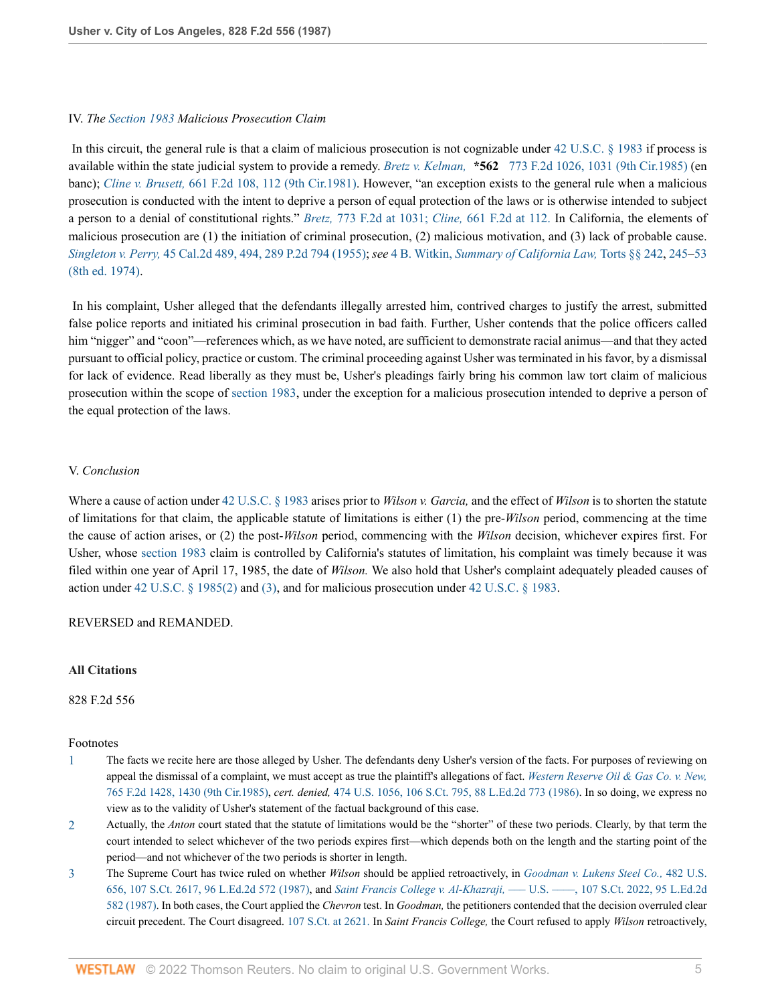### IV. *The [Section 1983](http://www.westlaw.com/Link/Document/FullText?findType=L&pubNum=1000546&cite=42USCAS1983&originatingDoc=Ifa0f037b953a11d9bdd1cfdd544ca3a4&refType=LQ&originationContext=document&vr=3.0&rs=cblt1.0&transitionType=DocumentItem&contextData=(sc.UserEnteredCitation)) Malicious Prosecution Claim*

 In this circuit, the general rule is that a claim of malicious prosecution is not cognizable under [42 U.S.C. § 1983](http://www.westlaw.com/Link/Document/FullText?findType=L&pubNum=1000546&cite=42USCAS1983&originatingDoc=Ifa0f037b953a11d9bdd1cfdd544ca3a4&refType=LQ&originationContext=document&vr=3.0&rs=cblt1.0&transitionType=DocumentItem&contextData=(sc.UserEnteredCitation)) if process is available within the state judicial system to provide a remedy. *Bretz v. Kelman,* **\*562** [773 F.2d 1026, 1031 \(9th Cir.1985\)](http://www.westlaw.com/Link/Document/FullText?findType=Y&serNum=1985149499&pubNum=0000350&originatingDoc=Ifa0f037b953a11d9bdd1cfdd544ca3a4&refType=RP&fi=co_pp_sp_350_1031&originationContext=document&vr=3.0&rs=cblt1.0&transitionType=DocumentItem&contextData=(sc.UserEnteredCitation)#co_pp_sp_350_1031) (en banc); *Cline v. Brusett,* [661 F.2d 108, 112 \(9th Cir.1981\)](http://www.westlaw.com/Link/Document/FullText?findType=Y&serNum=1981144382&pubNum=0000350&originatingDoc=Ifa0f037b953a11d9bdd1cfdd544ca3a4&refType=RP&fi=co_pp_sp_350_112&originationContext=document&vr=3.0&rs=cblt1.0&transitionType=DocumentItem&contextData=(sc.UserEnteredCitation)#co_pp_sp_350_112). However, "an exception exists to the general rule when a malicious prosecution is conducted with the intent to deprive a person of equal protection of the laws or is otherwise intended to subject a person to a denial of constitutional rights." *Bretz,* [773 F.2d at 1031;](http://www.westlaw.com/Link/Document/FullText?findType=Y&serNum=1985149499&pubNum=350&originatingDoc=Ifa0f037b953a11d9bdd1cfdd544ca3a4&refType=RP&fi=co_pp_sp_350_1031&originationContext=document&vr=3.0&rs=cblt1.0&transitionType=DocumentItem&contextData=(sc.UserEnteredCitation)#co_pp_sp_350_1031) *Cline,* [661 F.2d at 112.](http://www.westlaw.com/Link/Document/FullText?findType=Y&serNum=1981144382&pubNum=350&originatingDoc=Ifa0f037b953a11d9bdd1cfdd544ca3a4&refType=RP&fi=co_pp_sp_350_112&originationContext=document&vr=3.0&rs=cblt1.0&transitionType=DocumentItem&contextData=(sc.UserEnteredCitation)#co_pp_sp_350_112) In California, the elements of malicious prosecution are (1) the initiation of criminal prosecution, (2) malicious motivation, and (3) lack of probable cause. *Singleton v. Perry,* [45 Cal.2d 489, 494, 289 P.2d 794 \(1955\);](http://www.westlaw.com/Link/Document/FullText?findType=Y&serNum=1955113769&pubNum=0000661&originatingDoc=Ifa0f037b953a11d9bdd1cfdd544ca3a4&refType=RP&originationContext=document&vr=3.0&rs=cblt1.0&transitionType=DocumentItem&contextData=(sc.UserEnteredCitation)) *see* 4 B. Witkin, *[Summary of California Law,](http://www.westlaw.com/Link/Document/FullText?findType=Y&serNum=0305871629&pubNum=0155638&originatingDoc=Ifa0f037b953a11d9bdd1cfdd544ca3a4&refType=TS&originationContext=document&vr=3.0&rs=cblt1.0&transitionType=DocumentItem&contextData=(sc.UserEnteredCitation))* Torts §§ 242, [245](http://www.westlaw.com/Link/Document/FullText?findType=Y&serNum=0305871636&pubNum=0155638&originatingDoc=Ifa0f037b953a11d9bdd1cfdd544ca3a4&refType=TS&originationContext=document&vr=3.0&rs=cblt1.0&transitionType=DocumentItem&contextData=(sc.UserEnteredCitation))[–53](http://www.westlaw.com/Link/Document/FullText?findType=Y&serNum=0305871175&pubNum=0155638&originatingDoc=Ifa0f037b953a11d9bdd1cfdd544ca3a4&refType=TS&originationContext=document&vr=3.0&rs=cblt1.0&transitionType=DocumentItem&contextData=(sc.UserEnteredCitation)) [\(8th ed. 1974\)](http://www.westlaw.com/Link/Document/FullText?findType=Y&serNum=0305871175&pubNum=0155638&originatingDoc=Ifa0f037b953a11d9bdd1cfdd544ca3a4&refType=TS&originationContext=document&vr=3.0&rs=cblt1.0&transitionType=DocumentItem&contextData=(sc.UserEnteredCitation)).

 In his complaint, Usher alleged that the defendants illegally arrested him, contrived charges to justify the arrest, submitted false police reports and initiated his criminal prosecution in bad faith. Further, Usher contends that the police officers called him "nigger" and "coon"—references which, as we have noted, are sufficient to demonstrate racial animus—and that they acted pursuant to official policy, practice or custom. The criminal proceeding against Usher was terminated in his favor, by a dismissal for lack of evidence. Read liberally as they must be, Usher's pleadings fairly bring his common law tort claim of malicious prosecution within the scope of [section 1983,](http://www.westlaw.com/Link/Document/FullText?findType=L&pubNum=1000546&cite=42USCAS1983&originatingDoc=Ifa0f037b953a11d9bdd1cfdd544ca3a4&refType=LQ&originationContext=document&vr=3.0&rs=cblt1.0&transitionType=DocumentItem&contextData=(sc.UserEnteredCitation)) under the exception for a malicious prosecution intended to deprive a person of the equal protection of the laws.

#### V. *Conclusion*

Where a cause of action under [42 U.S.C. § 1983](http://www.westlaw.com/Link/Document/FullText?findType=L&pubNum=1000546&cite=42USCAS1983&originatingDoc=Ifa0f037b953a11d9bdd1cfdd544ca3a4&refType=LQ&originationContext=document&vr=3.0&rs=cblt1.0&transitionType=DocumentItem&contextData=(sc.UserEnteredCitation)) arises prior to *Wilson v. Garcia,* and the effect of *Wilson* is to shorten the statute of limitations for that claim, the applicable statute of limitations is either (1) the pre-*Wilson* period, commencing at the time the cause of action arises, or (2) the post-*Wilson* period, commencing with the *Wilson* decision, whichever expires first. For Usher, whose [section 1983](http://www.westlaw.com/Link/Document/FullText?findType=L&pubNum=1000546&cite=42USCAS1983&originatingDoc=Ifa0f037b953a11d9bdd1cfdd544ca3a4&refType=LQ&originationContext=document&vr=3.0&rs=cblt1.0&transitionType=DocumentItem&contextData=(sc.UserEnteredCitation)) claim is controlled by California's statutes of limitation, his complaint was timely because it was filed within one year of April 17, 1985, the date of *Wilson.* We also hold that Usher's complaint adequately pleaded causes of action under [42 U.S.C. § 1985\(2\)](http://www.westlaw.com/Link/Document/FullText?findType=L&pubNum=1000546&cite=42USCAS1985&originatingDoc=Ifa0f037b953a11d9bdd1cfdd544ca3a4&refType=RB&originationContext=document&vr=3.0&rs=cblt1.0&transitionType=DocumentItem&contextData=(sc.UserEnteredCitation)#co_pp_58730000872b1) and [\(3\)](http://www.westlaw.com/Link/Document/FullText?findType=L&pubNum=1000546&cite=42USCAS1985&originatingDoc=Ifa0f037b953a11d9bdd1cfdd544ca3a4&refType=RB&originationContext=document&vr=3.0&rs=cblt1.0&transitionType=DocumentItem&contextData=(sc.UserEnteredCitation)#co_pp_d08f0000f5f67), and for malicious prosecution under [42 U.S.C. § 1983.](http://www.westlaw.com/Link/Document/FullText?findType=L&pubNum=1000546&cite=42USCAS1983&originatingDoc=Ifa0f037b953a11d9bdd1cfdd544ca3a4&refType=LQ&originationContext=document&vr=3.0&rs=cblt1.0&transitionType=DocumentItem&contextData=(sc.UserEnteredCitation))

#### REVERSED and REMANDED.

### **All Citations**

828 F.2d 556

#### Footnotes

- <span id="page-4-0"></span>[1](#page-1-0) The facts we recite here are those alleged by Usher. The defendants deny Usher's version of the facts. For purposes of reviewing on appeal the dismissal of a complaint, we must accept as true the plaintiff's allegations of fact. *[Western Reserve Oil & Gas Co. v. New,](http://www.westlaw.com/Link/Document/FullText?findType=Y&serNum=1985136309&pubNum=0000350&originatingDoc=Ifa0f037b953a11d9bdd1cfdd544ca3a4&refType=RP&fi=co_pp_sp_350_1430&originationContext=document&vr=3.0&rs=cblt1.0&transitionType=DocumentItem&contextData=(sc.UserEnteredCitation)#co_pp_sp_350_1430)* [765 F.2d 1428, 1430 \(9th Cir.1985\),](http://www.westlaw.com/Link/Document/FullText?findType=Y&serNum=1985136309&pubNum=0000350&originatingDoc=Ifa0f037b953a11d9bdd1cfdd544ca3a4&refType=RP&fi=co_pp_sp_350_1430&originationContext=document&vr=3.0&rs=cblt1.0&transitionType=DocumentItem&contextData=(sc.UserEnteredCitation)#co_pp_sp_350_1430) *cert. denied,* [474 U.S. 1056, 106 S.Ct. 795, 88 L.Ed.2d 773 \(1986\).](http://www.westlaw.com/Link/Document/FullText?findType=Y&serNum=1986205107&pubNum=0000708&originatingDoc=Ifa0f037b953a11d9bdd1cfdd544ca3a4&refType=RP&originationContext=document&vr=3.0&rs=cblt1.0&transitionType=DocumentItem&contextData=(sc.UserEnteredCitation)) In so doing, we express no view as to the validity of Usher's statement of the factual background of this case.
- <span id="page-4-1"></span>[2](#page-2-0) Actually, the *Anton* court stated that the statute of limitations would be the "shorter" of these two periods. Clearly, by that term the court intended to select whichever of the two periods expires first—which depends both on the length and the starting point of the period—and not whichever of the two periods is shorter in length.
- <span id="page-4-2"></span>[3](#page-2-1) The Supreme Court has twice ruled on whether *Wilson* should be applied retroactively, in *[Goodman v. Lukens Steel Co.,](http://www.westlaw.com/Link/Document/FullText?findType=Y&serNum=1987076780&pubNum=0000708&originatingDoc=Ifa0f037b953a11d9bdd1cfdd544ca3a4&refType=RP&originationContext=document&vr=3.0&rs=cblt1.0&transitionType=DocumentItem&contextData=(sc.UserEnteredCitation))* 482 U.S. [656, 107 S.Ct. 2617, 96 L.Ed.2d 572 \(1987\)](http://www.westlaw.com/Link/Document/FullText?findType=Y&serNum=1987076780&pubNum=0000708&originatingDoc=Ifa0f037b953a11d9bdd1cfdd544ca3a4&refType=RP&originationContext=document&vr=3.0&rs=cblt1.0&transitionType=DocumentItem&contextData=(sc.UserEnteredCitation)), and *Saint Francis College v. Al-Khazraji,* [––– U.S. ––––, 107 S.Ct. 2022, 95 L.Ed.2d](http://www.westlaw.com/Link/Document/FullText?findType=Y&serNum=1987062389&pubNum=0000708&originatingDoc=Ifa0f037b953a11d9bdd1cfdd544ca3a4&refType=RP&originationContext=document&vr=3.0&rs=cblt1.0&transitionType=DocumentItem&contextData=(sc.UserEnteredCitation)) [582 \(1987\)](http://www.westlaw.com/Link/Document/FullText?findType=Y&serNum=1987062389&pubNum=0000708&originatingDoc=Ifa0f037b953a11d9bdd1cfdd544ca3a4&refType=RP&originationContext=document&vr=3.0&rs=cblt1.0&transitionType=DocumentItem&contextData=(sc.UserEnteredCitation)). In both cases, the Court applied the *Chevron* test. In *Goodman,* the petitioners contended that the decision overruled clear circuit precedent. The Court disagreed. [107 S.Ct. at 2621.](http://www.westlaw.com/Link/Document/FullText?findType=Y&serNum=1987076780&pubNum=708&originatingDoc=Ifa0f037b953a11d9bdd1cfdd544ca3a4&refType=RP&fi=co_pp_sp_708_2621&originationContext=document&vr=3.0&rs=cblt1.0&transitionType=DocumentItem&contextData=(sc.UserEnteredCitation)#co_pp_sp_708_2621) In *Saint Francis College,* the Court refused to apply *Wilson* retroactively,